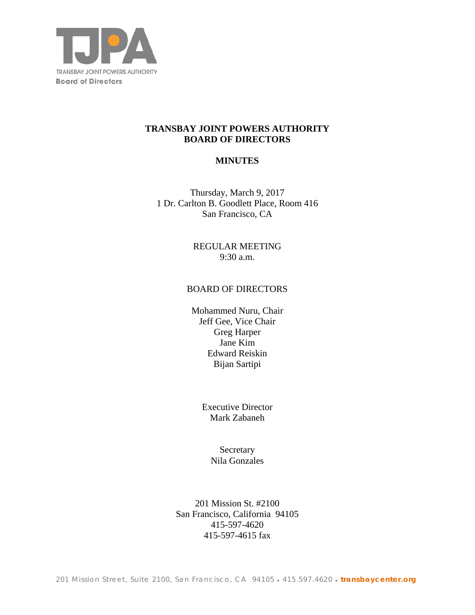

## **TRANSBAY JOINT POWERS AUTHORITY BOARD OF DIRECTORS**

# **MINUTES**

Thursday, March 9, 2017 1 Dr. Carlton B. Goodlett Place, Room 416 San Francisco, CA

> REGULAR MEETING 9:30 a.m.

### BOARD OF DIRECTORS

Mohammed Nuru, Chair Jeff Gee, Vice Chair Greg Harper Jane Kim Edward Reiskin Bijan Sartipi

> Executive Director Mark Zabaneh

> > **Secretary** Nila Gonzales

201 Mission St. #2100 San Francisco, California 94105 415-597-4620 415-597-4615 fax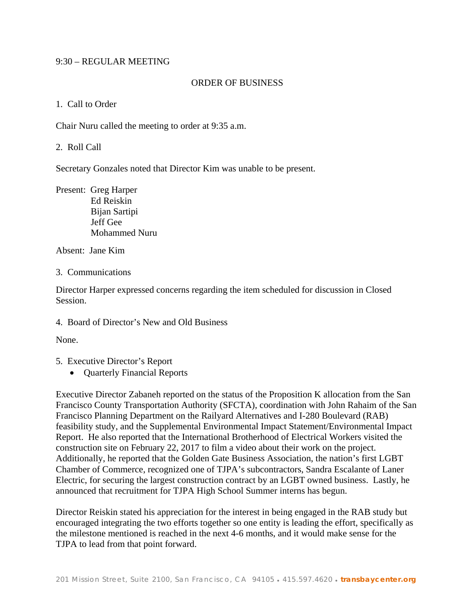### 9:30 – REGULAR MEETING

### ORDER OF BUSINESS

#### 1. Call to Order

Chair Nuru called the meeting to order at 9:35 a.m.

### 2. Roll Call

Secretary Gonzales noted that Director Kim was unable to be present.

Present: Greg Harper Ed Reiskin Bijan Sartipi Jeff Gee Mohammed Nuru

Absent: Jane Kim

#### 3. Communications

Director Harper expressed concerns regarding the item scheduled for discussion in Closed Session.

4. Board of Director's New and Old Business

None.

- 5. Executive Director's Report
	- Ouarterly Financial Reports

Executive Director Zabaneh reported on the status of the Proposition K allocation from the San Francisco County Transportation Authority (SFCTA), coordination with John Rahaim of the San Francisco Planning Department on the Railyard Alternatives and I-280 Boulevard (RAB) feasibility study, and the Supplemental Environmental Impact Statement/Environmental Impact Report. He also reported that the International Brotherhood of Electrical Workers visited the construction site on February 22, 2017 to film a video about their work on the project. Additionally, he reported that the Golden Gate Business Association, the nation's first LGBT Chamber of Commerce, recognized one of TJPA's subcontractors, Sandra Escalante of Laner Electric, for securing the largest construction contract by an LGBT owned business. Lastly, he announced that recruitment for TJPA High School Summer interns has begun.

Director Reiskin stated his appreciation for the interest in being engaged in the RAB study but encouraged integrating the two efforts together so one entity is leading the effort, specifically as the milestone mentioned is reached in the next 4-6 months, and it would make sense for the TJPA to lead from that point forward.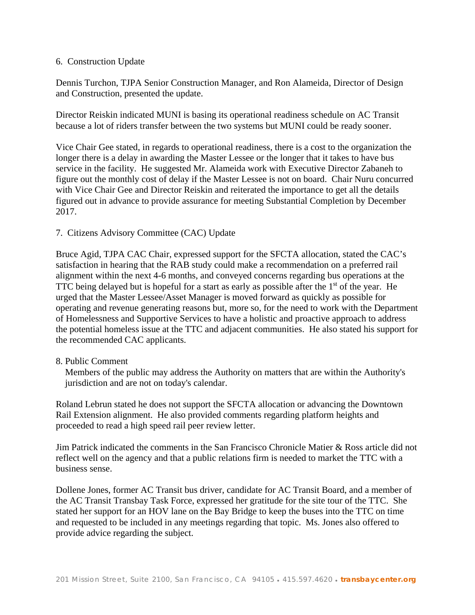### 6. Construction Update

Dennis Turchon, TJPA Senior Construction Manager, and Ron Alameida, Director of Design and Construction, presented the update.

Director Reiskin indicated MUNI is basing its operational readiness schedule on AC Transit because a lot of riders transfer between the two systems but MUNI could be ready sooner.

Vice Chair Gee stated, in regards to operational readiness, there is a cost to the organization the longer there is a delay in awarding the Master Lessee or the longer that it takes to have bus service in the facility. He suggested Mr. Alameida work with Executive Director Zabaneh to figure out the monthly cost of delay if the Master Lessee is not on board. Chair Nuru concurred with Vice Chair Gee and Director Reiskin and reiterated the importance to get all the details figured out in advance to provide assurance for meeting Substantial Completion by December 2017.

## 7. Citizens Advisory Committee (CAC) Update

Bruce Agid, TJPA CAC Chair, expressed support for the SFCTA allocation, stated the CAC's satisfaction in hearing that the RAB study could make a recommendation on a preferred rail alignment within the next 4-6 months, and conveyed concerns regarding bus operations at the TTC being delayed but is hopeful for a start as early as possible after the  $1<sup>st</sup>$  of the year. He urged that the Master Lessee/Asset Manager is moved forward as quickly as possible for operating and revenue generating reasons but, more so, for the need to work with the Department of Homelessness and Supportive Services to have a holistic and proactive approach to address the potential homeless issue at the TTC and adjacent communities. He also stated his support for the recommended CAC applicants.

## 8. Public Comment

 Members of the public may address the Authority on matters that are within the Authority's jurisdiction and are not on today's calendar.

Roland Lebrun stated he does not support the SFCTA allocation or advancing the Downtown Rail Extension alignment. He also provided comments regarding platform heights and proceeded to read a high speed rail peer review letter.

Jim Patrick indicated the comments in the San Francisco Chronicle Matier & Ross article did not reflect well on the agency and that a public relations firm is needed to market the TTC with a business sense.

Dollene Jones, former AC Transit bus driver, candidate for AC Transit Board, and a member of the AC Transit Transbay Task Force, expressed her gratitude for the site tour of the TTC. She stated her support for an HOV lane on the Bay Bridge to keep the buses into the TTC on time and requested to be included in any meetings regarding that topic. Ms. Jones also offered to provide advice regarding the subject.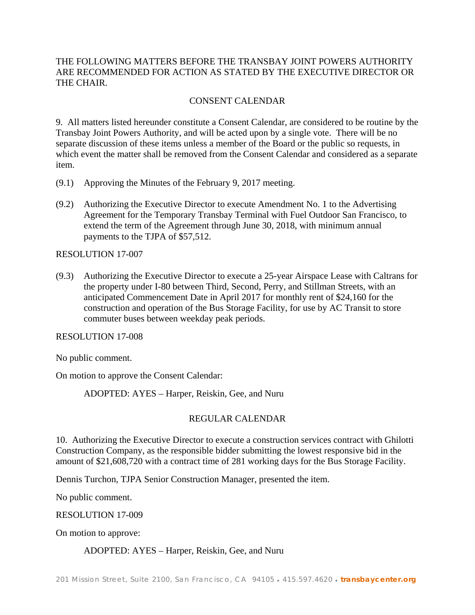# THE FOLLOWING MATTERS BEFORE THE TRANSBAY JOINT POWERS AUTHORITY ARE RECOMMENDED FOR ACTION AS STATED BY THE EXECUTIVE DIRECTOR OR THE CHAIR.

# CONSENT CALENDAR

9. All matters listed hereunder constitute a Consent Calendar, are considered to be routine by the Transbay Joint Powers Authority, and will be acted upon by a single vote. There will be no separate discussion of these items unless a member of the Board or the public so requests, in which event the matter shall be removed from the Consent Calendar and considered as a separate item.

- (9.1) Approving the Minutes of the February 9, 2017 meeting.
- (9.2) Authorizing the Executive Director to execute Amendment No. 1 to the Advertising Agreement for the Temporary Transbay Terminal with Fuel Outdoor San Francisco, to extend the term of the Agreement through June 30, 2018, with minimum annual payments to the TJPA of \$57,512.

RESOLUTION 17-007

(9.3) Authorizing the Executive Director to execute a 25-year Airspace Lease with Caltrans for the property under I-80 between Third, Second, Perry, and Stillman Streets, with an anticipated Commencement Date in April 2017 for monthly rent of \$24,160 for the construction and operation of the Bus Storage Facility, for use by AC Transit to store commuter buses between weekday peak periods.

RESOLUTION 17-008

No public comment.

On motion to approve the Consent Calendar:

ADOPTED: AYES – Harper, Reiskin, Gee, and Nuru

## REGULAR CALENDAR

10. Authorizing the Executive Director to execute a construction services contract with Ghilotti Construction Company, as the responsible bidder submitting the lowest responsive bid in the amount of \$21,608,720 with a contract time of 281 working days for the Bus Storage Facility.

Dennis Turchon, TJPA Senior Construction Manager, presented the item.

No public comment.

RESOLUTION 17-009

On motion to approve:

ADOPTED: AYES – Harper, Reiskin, Gee, and Nuru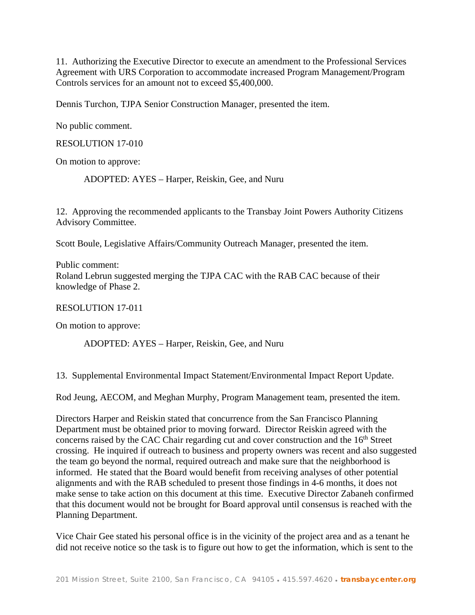11. Authorizing the Executive Director to execute an amendment to the Professional Services Agreement with URS Corporation to accommodate increased Program Management/Program Controls services for an amount not to exceed \$5,400,000.

Dennis Turchon, TJPA Senior Construction Manager, presented the item.

No public comment.

RESOLUTION 17-010

On motion to approve:

ADOPTED: AYES – Harper, Reiskin, Gee, and Nuru

12. Approving the recommended applicants to the Transbay Joint Powers Authority Citizens Advisory Committee.

Scott Boule, Legislative Affairs/Community Outreach Manager, presented the item.

Public comment: Roland Lebrun suggested merging the TJPA CAC with the RAB CAC because of their knowledge of Phase 2.

RESOLUTION 17-011

On motion to approve:

ADOPTED: AYES – Harper, Reiskin, Gee, and Nuru

13. Supplemental Environmental Impact Statement/Environmental Impact Report Update.

Rod Jeung, AECOM, and Meghan Murphy, Program Management team, presented the item.

Directors Harper and Reiskin stated that concurrence from the San Francisco Planning Department must be obtained prior to moving forward. Director Reiskin agreed with the concerns raised by the CAC Chair regarding cut and cover construction and the 16<sup>th</sup> Street crossing. He inquired if outreach to business and property owners was recent and also suggested the team go beyond the normal, required outreach and make sure that the neighborhood is informed. He stated that the Board would benefit from receiving analyses of other potential alignments and with the RAB scheduled to present those findings in 4-6 months, it does not make sense to take action on this document at this time. Executive Director Zabaneh confirmed that this document would not be brought for Board approval until consensus is reached with the Planning Department.

Vice Chair Gee stated his personal office is in the vicinity of the project area and as a tenant he did not receive notice so the task is to figure out how to get the information, which is sent to the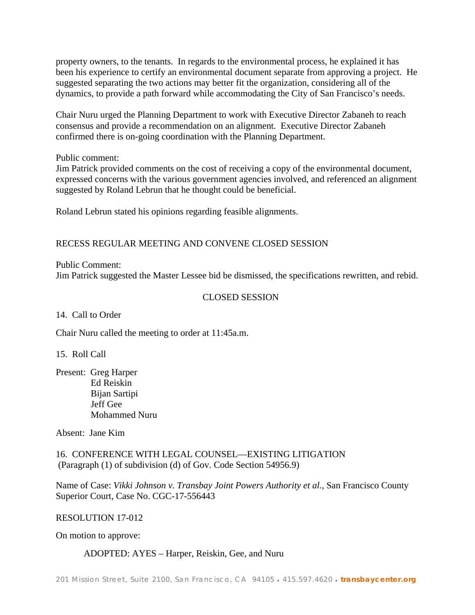property owners, to the tenants. In regards to the environmental process, he explained it has been his experience to certify an environmental document separate from approving a project. He suggested separating the two actions may better fit the organization, considering all of the dynamics, to provide a path forward while accommodating the City of San Francisco's needs.

Chair Nuru urged the Planning Department to work with Executive Director Zabaneh to reach consensus and provide a recommendation on an alignment. Executive Director Zabaneh confirmed there is on-going coordination with the Planning Department.

Public comment:

Jim Patrick provided comments on the cost of receiving a copy of the environmental document, expressed concerns with the various government agencies involved, and referenced an alignment suggested by Roland Lebrun that he thought could be beneficial.

Roland Lebrun stated his opinions regarding feasible alignments.

# RECESS REGULAR MEETING AND CONVENE CLOSED SESSION

Public Comment:

Jim Patrick suggested the Master Lessee bid be dismissed, the specifications rewritten, and rebid.

## CLOSED SESSION

14. Call to Order

Chair Nuru called the meeting to order at 11:45a.m.

15. Roll Call

Present: Greg Harper Ed Reiskin Bijan Sartipi Jeff Gee Mohammed Nuru

Absent: Jane Kim

16. CONFERENCE WITH LEGAL COUNSEL—EXISTING LITIGATION (Paragraph (1) of subdivision (d) of Gov. Code Section 54956.9)

Name of Case: *Vikki Johnson v. Transbay Joint Powers Authority et al.*, San Francisco County Superior Court, Case No. CGC-17-556443

### RESOLUTION 17-012

On motion to approve:

#### ADOPTED: AYES – Harper, Reiskin, Gee, and Nuru